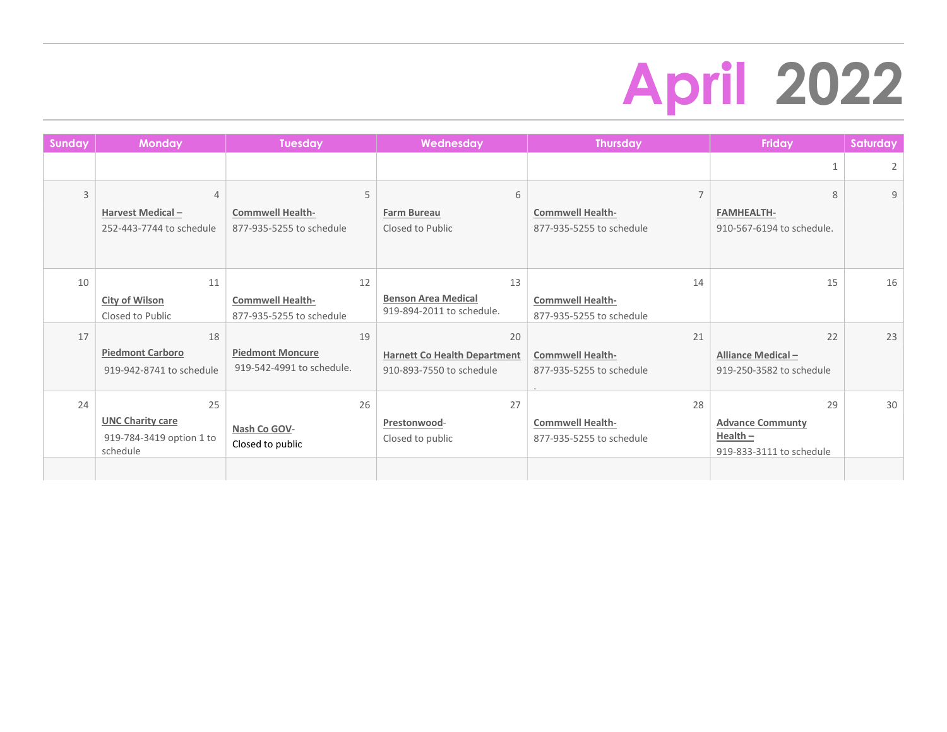## April 2022

| <b>Sunday</b>  | <b>Monday</b>            | <b>Tuesday</b>            | Wednesday                           | <b>Thursday</b>          | <b>Friday</b>             | Saturday |
|----------------|--------------------------|---------------------------|-------------------------------------|--------------------------|---------------------------|----------|
|                |                          |                           |                                     |                          |                           | 2        |
| $\overline{3}$ | 4                        | 5                         | 6                                   | $\overline{7}$           | 8                         | 9        |
|                | Harvest Medical-         | <b>Commwell Health-</b>   | Farm Bureau                         | <b>Commwell Health-</b>  | <b>FAMHEALTH-</b>         |          |
|                | 252-443-7744 to schedule | 877-935-5255 to schedule  | Closed to Public                    | 877-935-5255 to schedule | 910-567-6194 to schedule. |          |
|                |                          |                           |                                     |                          |                           |          |
| 10             | 11                       | 12                        | 13                                  | 14                       | 15                        | 16       |
|                | <b>City of Wilson</b>    | <b>Commwell Health-</b>   | <b>Benson Area Medical</b>          | <b>Commwell Health-</b>  |                           |          |
|                | Closed to Public         | 877-935-5255 to schedule  | 919-894-2011 to schedule.           | 877-935-5255 to schedule |                           |          |
| 17             | 18                       | 19                        | 20                                  | 21                       | 22                        | 23       |
|                | <b>Piedmont Carboro</b>  | <b>Piedmont Moncure</b>   | <b>Harnett Co Health Department</b> | <b>Commwell Health-</b>  | Alliance Medical-         |          |
|                | 919-942-8741 to schedule | 919-542-4991 to schedule. | 910-893-7550 to schedule            | 877-935-5255 to schedule | 919-250-3582 to schedule  |          |
| 24             | 25                       | 26                        | 27                                  | 28                       | 29                        | 30       |
|                | <b>UNC Charity care</b>  |                           | Prestonwood-                        | <b>Commwell Health-</b>  | <b>Advance Communty</b>   |          |
|                | 919-784-3419 option 1 to | Nash Co GOV-              | Closed to public                    | 877-935-5255 to schedule | $Health -$                |          |
|                | schedule                 | Closed to public          |                                     |                          | 919-833-3111 to schedule  |          |
|                |                          |                           |                                     |                          |                           |          |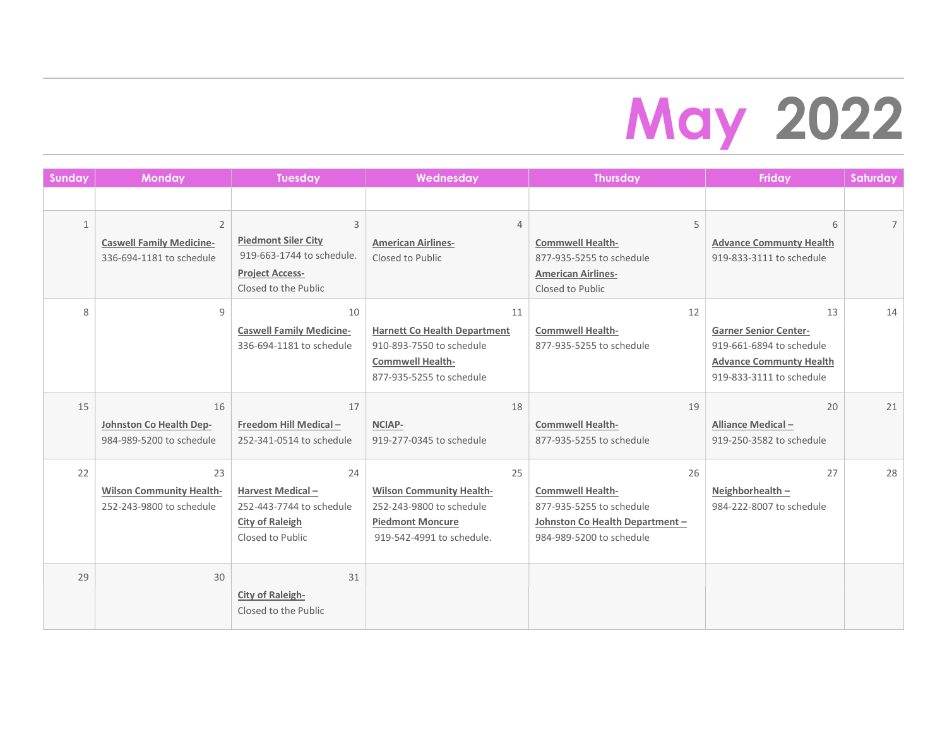## May 2022

| <b>Sunday</b> | Monday                                                                        | <b>Tuesday</b>                                                                                                 | Wednesday                                                                                                                    | <b>Thursday</b>                                                                                                          | <b>Friday</b>                                                                                                                | Saturday    |
|---------------|-------------------------------------------------------------------------------|----------------------------------------------------------------------------------------------------------------|------------------------------------------------------------------------------------------------------------------------------|--------------------------------------------------------------------------------------------------------------------------|------------------------------------------------------------------------------------------------------------------------------|-------------|
|               |                                                                               |                                                                                                                |                                                                                                                              |                                                                                                                          |                                                                                                                              |             |
| $\mathbf{1}$  | $\overline{2}$<br><b>Caswell Family Medicine-</b><br>336-694-1181 to schedule | 3<br><b>Piedmont Siler City</b><br>919-663-1744 to schedule.<br><b>Project Access-</b><br>Closed to the Public | $\overline{4}$<br><b>American Airlines-</b><br>Closed to Public                                                              | 5<br><b>Commwell Health-</b><br>877-935-5255 to schedule<br><b>American Airlines-</b><br>Closed to Public                | 6<br><b>Advance Communty Health</b><br>919-833-3111 to schedule                                                              | $7^{\circ}$ |
| 8             | 9                                                                             | 10<br><b>Caswell Family Medicine-</b><br>336-694-1181 to schedule                                              | 11<br><b>Harnett Co Health Department</b><br>910-893-7550 to schedule<br><b>Commwell Health-</b><br>877-935-5255 to schedule | 12<br><b>Commwell Health-</b><br>877-935-5255 to schedule                                                                | 13<br><b>Garner Senior Center-</b><br>919-661-6894 to schedule<br><b>Advance Communty Health</b><br>919-833-3111 to schedule | 14          |
| 15            | 16<br>Johnston Co Health Dep-<br>984-989-5200 to schedule                     | 17<br>Freedom Hill Medical-<br>252-341-0514 to schedule                                                        | 18<br><b>NCIAP-</b><br>919-277-0345 to schedule                                                                              | 19<br><b>Commwell Health-</b><br>877-935-5255 to schedule                                                                | 20<br><b>Alliance Medical-</b><br>919-250-3582 to schedule                                                                   | 21          |
| 22            | 23<br><b>Wilson Community Health-</b><br>252-243-9800 to schedule             | 24<br>Harvest Medical-<br>252-443-7744 to schedule<br><b>City of Raleigh</b><br>Closed to Public               | 25<br><b>Wilson Community Health-</b><br>252-243-9800 to schedule<br><b>Piedmont Moncure</b><br>919-542-4991 to schedule.    | 26<br><b>Commwell Health-</b><br>877-935-5255 to schedule<br>Johnston Co Health Department -<br>984-989-5200 to schedule | 27<br>Neighborhealth $-$<br>984-222-8007 to schedule                                                                         | 28          |
| 29            | 30                                                                            | 31<br><b>City of Raleigh-</b><br>Closed to the Public                                                          |                                                                                                                              |                                                                                                                          |                                                                                                                              |             |